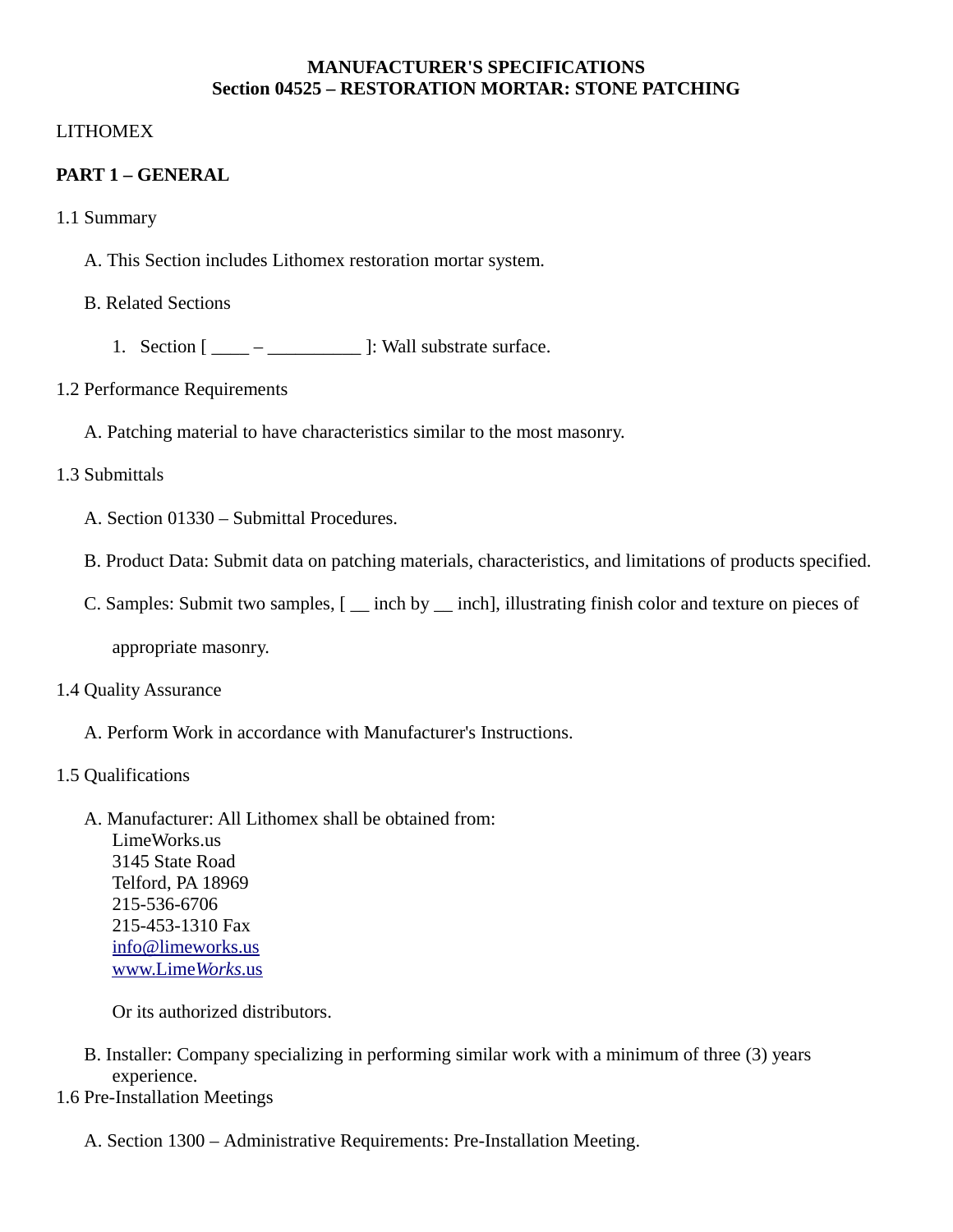### **MANUFACTURER'S SPECIFICATIONS Section 04525 – RESTORATION MORTAR: STONE PATCHING**

## LITHOMEX

## **PART 1 – GENERAL**

- 1.1 Summary
	- A. This Section includes Lithomex restoration mortar system.

### B. Related Sections

1. Section  $[\underline{\hspace{1cm}} - \underline{\hspace{1cm}} - \underline{\hspace{1cm}}]$ : Wall substrate surface.

### 1.2 Performance Requirements

A. Patching material to have characteristics similar to the most masonry.

## 1.3 Submittals

- A. Section 01330 Submittal Procedures.
- B. Product Data: Submit data on patching materials, characteristics, and limitations of products specified.
- C. Samples: Submit two samples, [ \_\_ inch by \_\_ inch], illustrating finish color and texture on pieces of

appropriate masonry.

### 1.4 Quality Assurance

- A. Perform Work in accordance with Manufacturer's Instructions.
- 1.5 Qualifications
	- A. Manufacturer: All Lithomex shall be obtained from:

LimeWorks.us 3145 State Road Telford, PA 18969 215-536-6706 215-453-1310 Fax [info@limeworks.us](mailto:info@limeworks.us)  [www.Lime](http://www.LimeWorks.us/) *[Works](http://www.LimeWorks.us/)*[.us](http://www.LimeWorks.us/)

Or its authorized distributors.

- B. Installer: Company specializing in performing similar work with a minimum of three (3) years experience.
- 1.6 Pre-Installation Meetings
	- A. Section 1300 Administrative Requirements: Pre-Installation Meeting.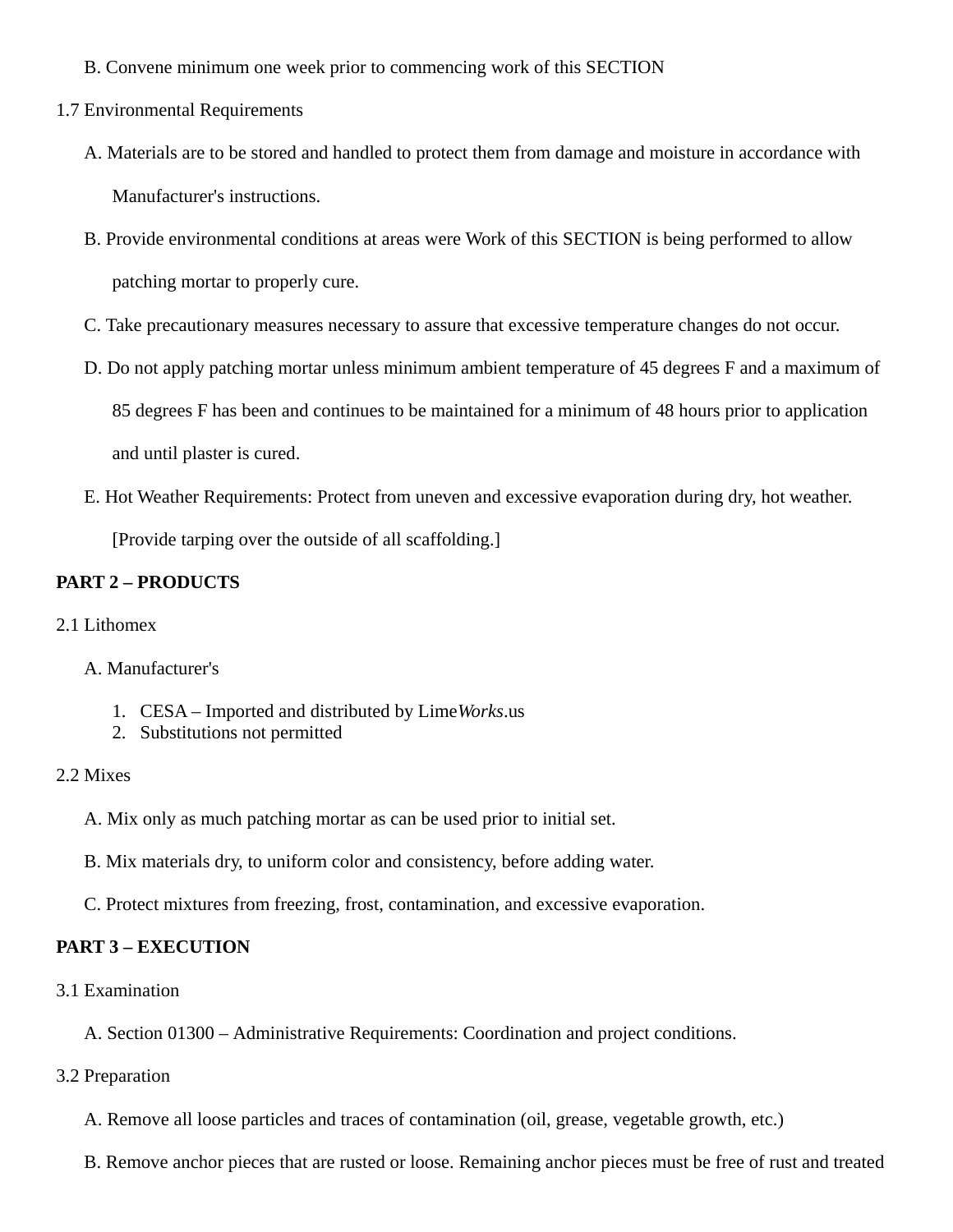- B. Convene minimum one week prior to commencing work of this SECTION
- 1.7 Environmental Requirements
	- A. Materials are to be stored and handled to protect them from damage and moisture in accordance with Manufacturer's instructions.
	- B. Provide environmental conditions at areas were Work of this SECTION is being performed to allow patching mortar to properly cure.
	- C. Take precautionary measures necessary to assure that excessive temperature changes do not occur.
	- D. Do not apply patching mortar unless minimum ambient temperature of 45 degrees F and a maximum of 85 degrees F has been and continues to be maintained for a minimum of 48 hours prior to application and until plaster is cured.
	- E. Hot Weather Requirements: Protect from uneven and excessive evaporation during dry, hot weather.

[Provide tarping over the outside of all scaffolding.]

### **PART 2 – PRODUCTS**

- 2.1 Lithomex
	- A. Manufacturer's
		- 1. CESA Imported and distributed by Lime*Works*.us
		- 2. Substitutions not permitted

#### 2.2 Mixes

- A. Mix only as much patching mortar as can be used prior to initial set.
- B. Mix materials dry, to uniform color and consistency, before adding water.
- C. Protect mixtures from freezing, frost, contamination, and excessive evaporation.

#### **PART 3 – EXECUTION**

3.1 Examination

A. Section 01300 – Administrative Requirements: Coordination and project conditions.

3.2 Preparation

A. Remove all loose particles and traces of contamination (oil, grease, vegetable growth, etc.)

B. Remove anchor pieces that are rusted or loose. Remaining anchor pieces must be free of rust and treated